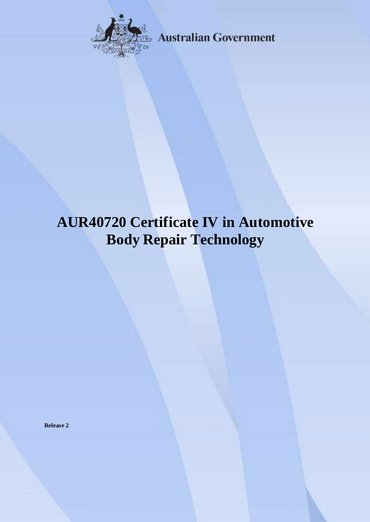

**Australian Government** 

# **AUR40720 Certificate IV in Automotive Body Repair Technology**

**Release 2**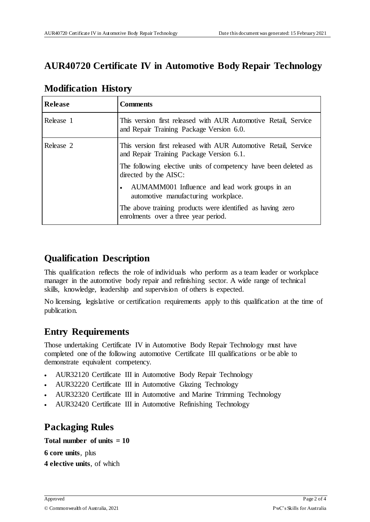# **AUR40720 Certificate IV in Automotive Body Repair Technology**

| <b>Release</b> | <b>Comments</b>                                                                                             |
|----------------|-------------------------------------------------------------------------------------------------------------|
| Release 1      | This version first released with AUR Automotive Retail, Service<br>and Repair Training Package Version 6.0. |
| Release 2      | This version first released with AUR Automotive Retail, Service<br>and Repair Training Package Version 6.1. |
|                | The following elective units of competency have been deleted as<br>directed by the AISC:                    |
|                | AUMAMM001 Influence and lead work groups in an<br>$\bullet$<br>automotive manufacturing workplace.          |
|                | The above training products were identified as having zero<br>enrolments over a three year period.          |

## **Modification History**

## **Qualification Description**

This qualification reflects the role of individuals who perform as a team leader or workplace manager in the automotive body repair and refinishing sector. A wide range of technical skills, knowledge, leadership and supervision of others is expected.

No licensing, legislative or certification requirements apply to this qualification at the time of publication.

# **Entry Requirements**

Those undertaking Certificate IV in Automotive Body Repair Technology must have completed one of the following automotive Certificate III qualifications or be able to demonstrate equivalent competency.

- AUR32120 Certificate III in Automotive Body Repair Technology
- AUR32220 Certificate III in Automotive Glazing Technology
- AUR32320 Certificate III in Automotive and Marine Trimming Technology
- AUR32420 Certificate III in Automotive Refinishing Technology

# **Packaging Rules**

### **Total number of units = 10**

**6 core units**, plus

**4 elective units**, of which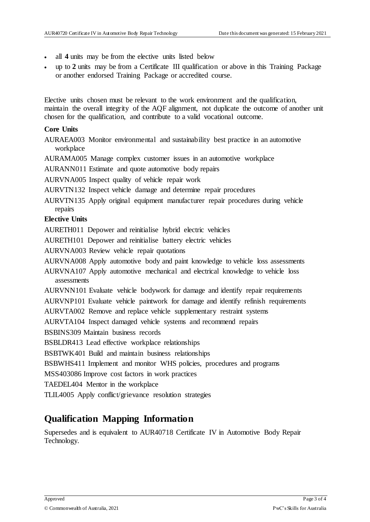- all **4** units may be from the elective units listed below
- up to **2** units may be from a Certificate III qualification or above in this Training Package or another endorsed Training Package or accredited course.

Elective units chosen must be relevant to the work environment and the qualification, maintain the overall integrity of the AQF alignment, not duplicate the outcome of another unit chosen for the qualification, and contribute to a valid vocational outcome.

#### **Core Units**

- AURAEA003 Monitor environmental and sustainability best practice in an automotive workplace
- AURAMA005 Manage complex customer issues in an automotive workplace

AURANN011 Estimate and quote automotive body repairs

AURVNA005 Inspect quality of vehicle repair work

- AURVTN132 Inspect vehicle damage and determine repair procedures
- AURVTN135 Apply original equipment manufacturer repair procedures during vehicle repairs

#### **Elective Units**

AURETH011 Depower and reinitialise hybrid electric vehicles

- AURETH101 Depower and reinitialise battery electric vehicles
- AURVNA003 Review vehicle repair quotations

AURVNA008 Apply automotive body and paint knowledge to vehicle loss assessments

AURVNA107 Apply automotive mechanical and electrical knowledge to vehicle loss assessments

- AURVNN101 Evaluate vehicle bodywork for damage and identify repair requirements
- AURVNP101 Evaluate vehicle paintwork for damage and identify refinish requirements
- AURVTA002 Remove and replace vehicle supplementary restraint systems

AURVTA104 Inspect damaged vehicle systems and recommend repairs

BSBINS309 Maintain business records

BSBLDR413 Lead effective workplace relationships

BSBTWK401 Build and maintain business relationships

BSBWHS411 Implement and monitor WHS policies, procedures and programs

MSS403086 Improve cost factors in work practices

TAEDEL404 Mentor in the workplace

TLIL4005 Apply conflict/grievance resolution strategies

## **Qualification Mapping Information**

Supersedes and is equivalent to AUR40718 Certificate IV in Automotive Body Repair Technology.